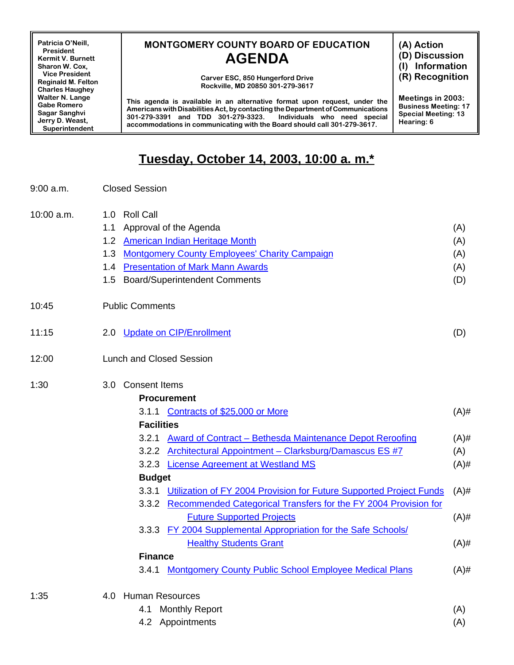**Patricia O'Neill, President Kermit V. Burnett Sharon W. Cox, Vice President Reginald M. Felton Charles Haughey Walter N. Lange Gabe Romero Sagar Sanghvi Jerry D. Weast, Superintendent**

## **MONTGOMERY COUNTY BOARD OF EDUCATION AGENDA**

**Carver ESC, 850 Hungerford Drive Rockville, MD 20850 301-279-3617**

**This agenda is available in an alternative format upon request, under the Americans withDisabilitiesAct,bycontacting the Department ofCommunications 301-279-3391 and TDD 301-279-3323. Individuals who need special accommodations in communicating with the Board should call 301-279-3617.**

**(A) Action**

**(D) Discussion**

**(I) Information**

**(R) Recognition**

**Meetings in 2003: Business Meeting: 17 Special Meeting: 13 Hearing: 6**

## **Tuesday, October 14, 2003, 10:00 a. m.\***

| 9:00 a.m. | <b>Closed Session</b> |
|-----------|-----------------------|
|-----------|-----------------------|

| 10:00 a.m. | 1.0 Roll Call                                                             |         |  |
|------------|---------------------------------------------------------------------------|---------|--|
|            | Approval of the Agenda<br>1.1                                             | (A)     |  |
|            | <b>American Indian Heritage Month</b><br>1.2                              | (A)     |  |
|            | 1.3 Montgomery County Employees' Charity Campaign                         | (A)     |  |
|            | 1.4 Presentation of Mark Mann Awards                                      | (A)     |  |
|            | 1.5 Board/Superintendent Comments                                         | (D)     |  |
| 10:45      | <b>Public Comments</b>                                                    |         |  |
| 11:15      | 2.0 Update on CIP/Enrollment                                              | (D)     |  |
| 12:00      | <b>Lunch and Closed Session</b>                                           |         |  |
| 1:30       | 3.0 Consent Items                                                         |         |  |
|            | <b>Procurement</b>                                                        |         |  |
|            | 3.1.1 Contracts of \$25,000 or More                                       | $(A)$ # |  |
|            | <b>Facilities</b>                                                         |         |  |
|            | 3.2.1 Award of Contract - Bethesda Maintenance Depot Reroofing            | $(A)$ # |  |
|            | 3.2.2 Architectural Appointment - Clarksburg/Damascus ES #7               | (A)     |  |
|            | 3.2.3 License Agreement at Westland MS                                    | $(A)$ # |  |
|            | <b>Budget</b>                                                             |         |  |
|            | 3.3.1 Utilization of FY 2004 Provision for Future Supported Project Funds | $(A)$ # |  |
|            | 3.3.2 Recommended Categorical Transfers for the FY 2004 Provision for     |         |  |
|            | <b>Future Supported Projects</b>                                          | $(A)$ # |  |
|            | 3.3.3 FY 2004 Supplemental Appropriation for the Safe Schools/            |         |  |
|            | <b>Healthy Students Grant</b>                                             | $(A)$ # |  |
|            | <b>Finance</b>                                                            |         |  |
|            | 3.4.1 Montgomery County Public School Employee Medical Plans              | $(A)$ # |  |
| 1:35       | 4.0 Human Resources                                                       |         |  |
|            | <b>Monthly Report</b><br>4.1                                              | (A)     |  |
|            | 4.2 Appointments                                                          | (A)     |  |